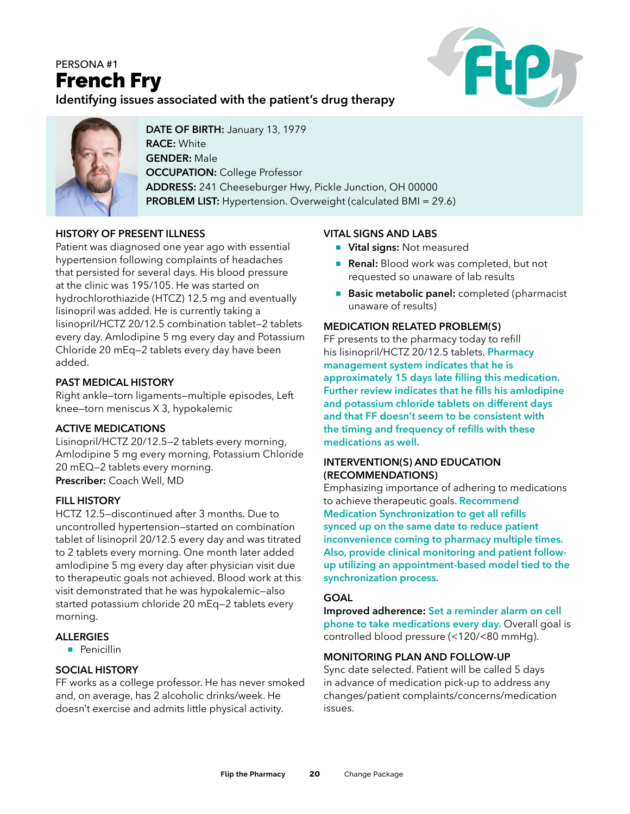# PERSONA #1 French Fry



**Identifying issues associated with the patient's drug therapy**



**DATE OF BIRTH:** January 13, 1979 **RACE:** White **GENDER:** Male **OCCUPATION: College Professor ADDRESS:** 241 Cheeseburger Hwy, Pickle Junction, OH 00000 **PROBLEM LIST:** Hypertension. Overweight (calculated BMI = 29.6)

# **HISTORY OF PRESENT ILLNESS**

Patient was diagnosed one year ago with essential hypertension following complaints of headaches that persisted for several days. His blood pressure at the clinic was 195/105. He was started on hydrochlorothiazide (HTCZ) 12.5 mg and eventually lisinopril was added. He is currently taking a lisinopril/HCTZ 20/12.5 combination tablet—2 tablets every day. Amlodipine 5 mg every day and Potassium Chloride 20 mEq—2 tablets every day have been added.

#### **PAST MEDICAL HISTORY**

Right ankle—torn ligaments—multiple episodes, Left knee—torn meniscus X 3, hypokalemic

#### **ACTIVE MEDICATIONS**

Lisinopril/HCTZ 20/12.5—2 tablets every morning, Amlodipine 5 mg every morning, Potassium Chloride 20 mEQ—2 tablets every morning. **Prescriber:** Coach Well, MD

#### **FILL HISTORY**

HCTZ 12.5—discontinued after 3 months. Due to uncontrolled hypertension—started on combination tablet of lisinopril 20/12.5 every day and was titrated to 2 tablets every morning. One month later added amlodipine 5 mg every day after physician visit due to therapeutic goals not achieved. Blood work at this visit demonstrated that he was hypokalemic—also started potassium chloride 20 mEq—2 tablets every morning.

#### **ALLERGIES**

**n** Penicillin

### **SOCIAL HISTORY**

FF works as a college professor. He has never smoked and, on average, has 2 alcoholic drinks/week. He doesn't exercise and admits little physical activity.

#### **VITAL SIGNS AND LABS**

- **Nital signs: Not measured**
- **Renal:** Blood work was completed, but not requested so unaware of lab results
- **Basic metabolic panel:** completed (pharmacist unaware of results)

#### **MEDICATION RELATED PROBLEM(S)**

FF presents to the pharmacy today to refill his lisinopril/HCTZ 20/12.5 tablets. **Pharmacy management system indicates that he is approximately 15 days late filling this medication. Further review indicates that he fills his amlodipine and potassium chloride tablets on different days and that FF doesn't seem to be consistent with the timing and frequency of refills with these medications as well.**

#### **INTERVENTION(S) AND EDUCATION (RECOMMENDATIONS)**

Emphasizing importance of adhering to medications to achieve therapeutic goals. **Recommend Medication Synchronization to get all refills synced up on the same date to reduce patient inconvenience coming to pharmacy multiple times. Also, provide clinical monitoring and patient followup utilizing an appointment-based model tied to the synchronization process.**

#### **GOAL**

**Improved adherence: Set a reminder alarm on cell phone to take medications every day.** Overall goal is controlled blood pressure (<120/<80 mmHg).

#### **MONITORING PLAN AND FOLLOW-UP**

Sync date selected. Patient will be called 5 days in advance of medication pick-up to address any changes/patient complaints/concerns/medication issues.